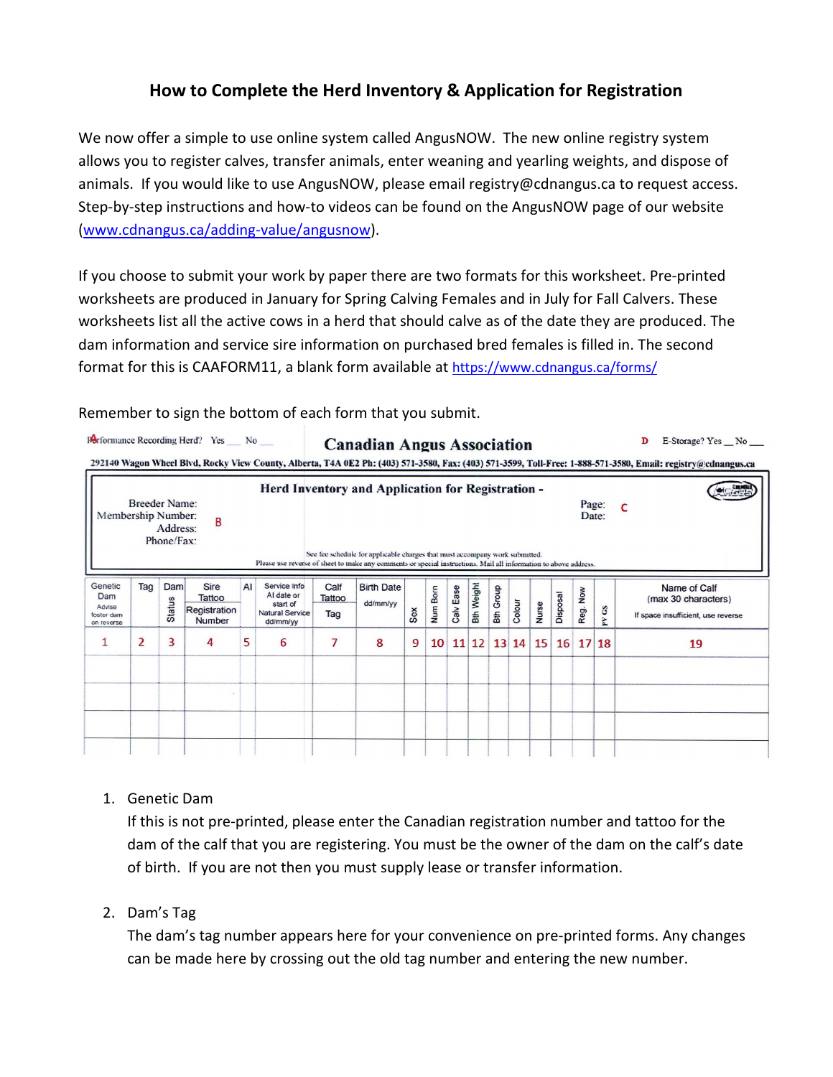# **How to Complete the Herd Inventory & Application for Registration**

We now offer a simple to use online system called AngusNOW. The new online registry system allows you to register calves, transfer animals, enter weaning and yearling weights, and dispose of animals. If you would like to use AngusNOW, please email registry@cdnangus.ca to request access. Step-by-step instructions and how-to videos can be found on the AngusNOW page of our website [\(www.cdnangus.ca/adding-value/angusnow\)](http://www.cdnangus.ca/adding-value/angusnow).

If you choose to submit your work by paper there are two formats for this worksheet. Pre-printed worksheets are produced in January for Spring Calving Females and in July for Fall Calvers. These worksheets list all the active cows in a herd that should calve as of the date they are produced. The dam information and service sire information on purchased bred females is filled in. The second format for this is CAAFORM11, a blank form available at<https://www.cdnangus.ca/forms/>

Remember to sign the bottom of each form that you submit.

| Membership Number:                                   | <b>Breeder Name:</b> | Address:<br>Phone/Fax: | B                                        |    | Herd Inventory and Application for Registration -<br>Please use reverse of sheet to make any comments or special instructions. Mail all information to above address. |                       | See fee schedule for applicable charges that must accompany work submitted. |     |          |           |                   |                  |        |       |          |          | Page:<br>Date:    | C                                                                         |
|------------------------------------------------------|----------------------|------------------------|------------------------------------------|----|-----------------------------------------------------------------------------------------------------------------------------------------------------------------------|-----------------------|-----------------------------------------------------------------------------|-----|----------|-----------|-------------------|------------------|--------|-------|----------|----------|-------------------|---------------------------------------------------------------------------|
| Genetic<br>Dam<br>Advise<br>foster dam<br>on reverse | Tag                  | Dam<br>Status          | Sire<br>Tattoo<br>Registration<br>Number | AI | Service Info<br>Al date or<br>start of<br>Natural Service<br>dd/mm/yy                                                                                                 | Calf<br>Tattoo<br>Tag | <b>Birth Date</b><br>dd/mm/yy                                               | Sex | Num Born | Calv Ease | <b>Bth Weight</b> | <b>Bth Group</b> | Colour | Nurse | Disposal | Reg. Now | $\mathbf{G}$<br>Z | Name of Calf<br>(max 30 characters)<br>If space insufficient, use reverse |
| 1                                                    | $\overline{2}$       | 3                      | 4                                        | 5  | 6                                                                                                                                                                     | 7                     | 8                                                                           | 9   | 10       |           | $11 \, 12$        |                  | 13 14  | 15    |          | 16 17 18 |                   | 19                                                                        |
|                                                      |                      |                        |                                          |    |                                                                                                                                                                       |                       |                                                                             |     |          |           |                   |                  |        |       |          |          |                   |                                                                           |

### 1. Genetic Dam

If this is not pre-printed, please enter the Canadian registration number and tattoo for the dam of the calf that you are registering. You must be the owner of the dam on the calf's date of birth. If you are not then you must supply lease or transfer information.

## 2. Dam's Tag

The dam's tag number appears here for your convenience on pre-printed forms. Any changes can be made here by crossing out the old tag number and entering the new number.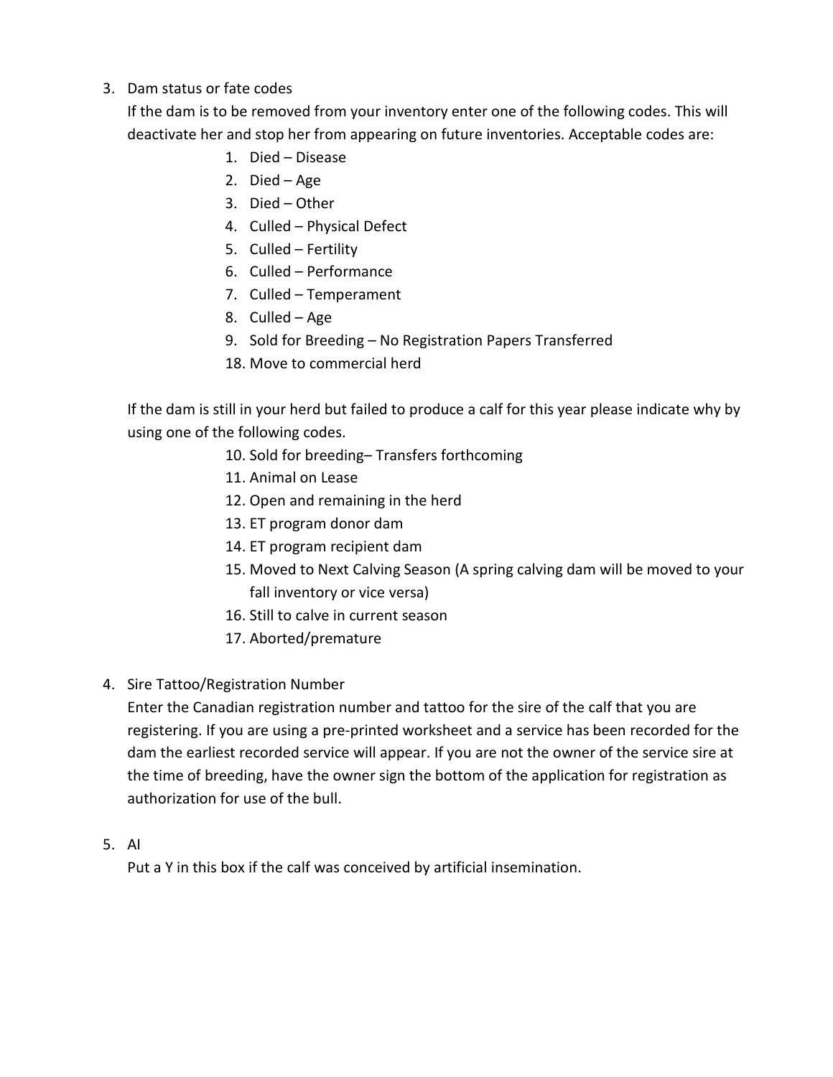### 3. Dam status or fate codes

If the dam is to be removed from your inventory enter one of the following codes. This will deactivate her and stop her from appearing on future inventories. Acceptable codes are:

- 1. Died Disease
- 2. Died Age
- 3. Died Other
- 4. Culled Physical Defect
- 5. Culled Fertility
- 6. Culled Performance
- 7. Culled Temperament
- 8. Culled Age
- 9. Sold for Breeding No Registration Papers Transferred
- 18. Move to commercial herd

If the dam is still in your herd but failed to produce a calf for this year please indicate why by using one of the following codes.

- 10. Sold for breeding– Transfers forthcoming
- 11. Animal on Lease
- 12. Open and remaining in the herd
- 13. ET program donor dam
- 14. ET program recipient dam
- 15. Moved to Next Calving Season (A spring calving dam will be moved to your fall inventory or vice versa)
- 16. Still to calve in current season
- 17. Aborted/premature

### 4. Sire Tattoo/Registration Number

Enter the Canadian registration number and tattoo for the sire of the calf that you are registering. If you are using a pre-printed worksheet and a service has been recorded for the dam the earliest recorded service will appear. If you are not the owner of the service sire at the time of breeding, have the owner sign the bottom of the application for registration as authorization for use of the bull.

#### 5. AI

Put a Y in this box if the calf was conceived by artificial insemination.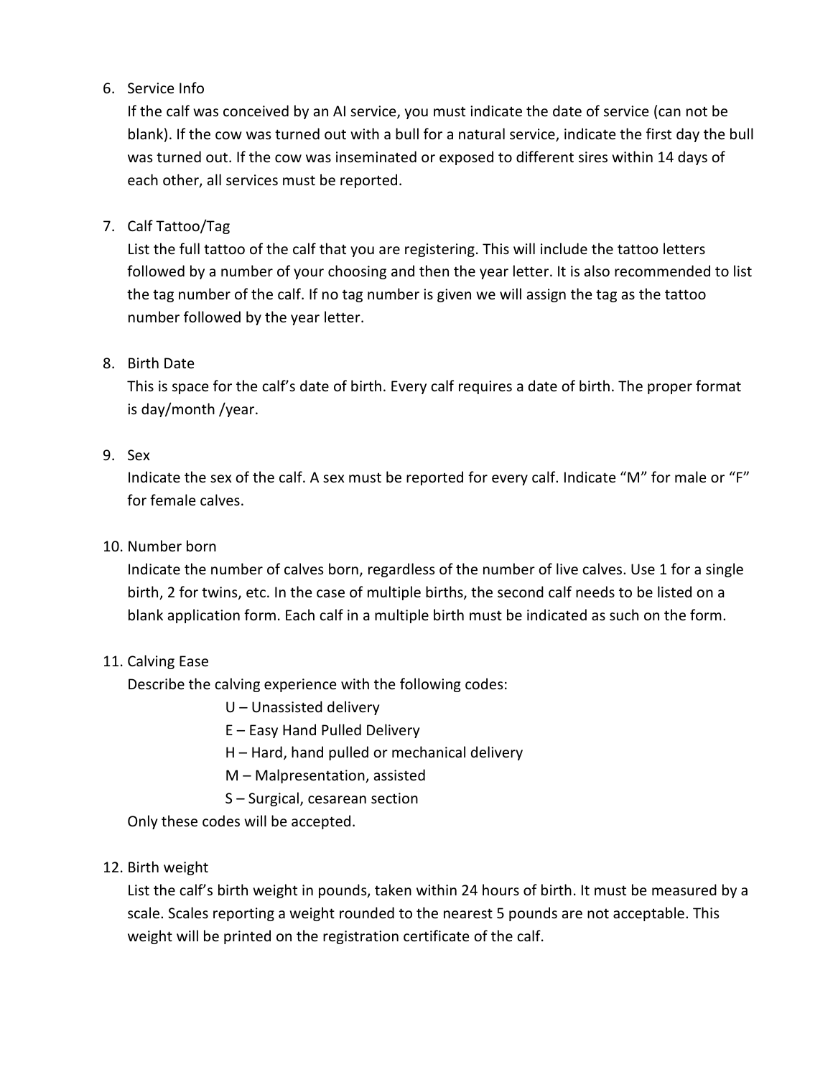### 6. Service Info

If the calf was conceived by an AI service, you must indicate the date of service (can not be blank). If the cow was turned out with a bull for a natural service, indicate the first day the bull was turned out. If the cow was inseminated or exposed to different sires within 14 days of each other, all services must be reported.

### 7. Calf Tattoo/Tag

List the full tattoo of the calf that you are registering. This will include the tattoo letters followed by a number of your choosing and then the year letter. It is also recommended to list the tag number of the calf. If no tag number is given we will assign the tag as the tattoo number followed by the year letter.

### 8. Birth Date

This is space for the calf's date of birth. Every calf requires a date of birth. The proper format is day/month /year.

### 9. Sex

Indicate the sex of the calf. A sex must be reported for every calf. Indicate "M" for male or "F" for female calves.

### 10. Number born

Indicate the number of calves born, regardless of the number of live calves. Use 1 for a single birth, 2 for twins, etc. In the case of multiple births, the second calf needs to be listed on a blank application form. Each calf in a multiple birth must be indicated as such on the form.

### 11. Calving Ease

Describe the calving experience with the following codes:

U – Unassisted delivery

E – Easy Hand Pulled Delivery

H – Hard, hand pulled or mechanical delivery

M – Malpresentation, assisted

S – Surgical, cesarean section

Only these codes will be accepted.

## 12. Birth weight

List the calf's birth weight in pounds, taken within 24 hours of birth. It must be measured by a scale. Scales reporting a weight rounded to the nearest 5 pounds are not acceptable. This weight will be printed on the registration certificate of the calf.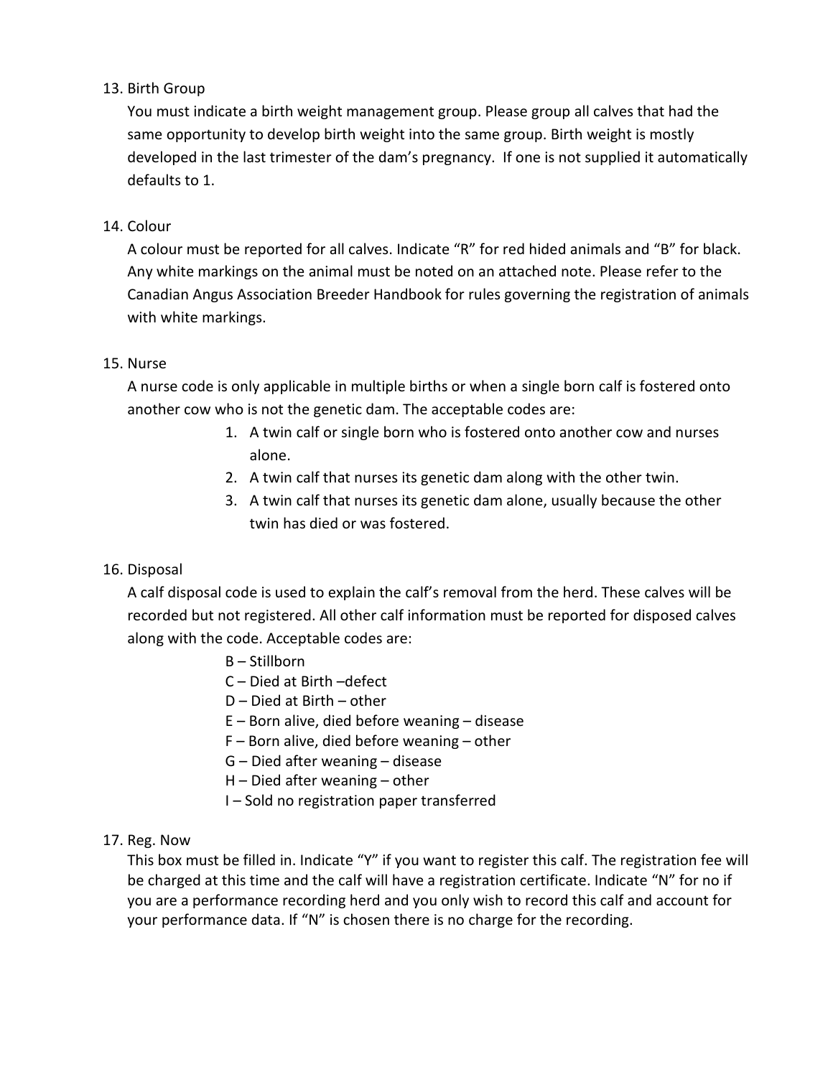### 13. Birth Group

You must indicate a birth weight management group. Please group all calves that had the same opportunity to develop birth weight into the same group. Birth weight is mostly developed in the last trimester of the dam's pregnancy. If one is not supplied it automatically defaults to 1.

### 14. Colour

A colour must be reported for all calves. Indicate "R" for red hided animals and "B" for black. Any white markings on the animal must be noted on an attached note. Please refer to the Canadian Angus Association Breeder Handbook for rules governing the registration of animals with white markings.

### 15. Nurse

A nurse code is only applicable in multiple births or when a single born calf is fostered onto another cow who is not the genetic dam. The acceptable codes are:

- 1. A twin calf or single born who is fostered onto another cow and nurses alone.
- 2. A twin calf that nurses its genetic dam along with the other twin.
- 3. A twin calf that nurses its genetic dam alone, usually because the other twin has died or was fostered.

### 16. Disposal

A calf disposal code is used to explain the calf's removal from the herd. These calves will be recorded but not registered. All other calf information must be reported for disposed calves along with the code. Acceptable codes are:

- B Stillborn
- C Died at Birth –defect
- D Died at Birth other
- E Born alive, died before weaning disease
- F Born alive, died before weaning other
- G Died after weaning disease
- H Died after weaning other
- I Sold no registration paper transferred

#### 17. Reg. Now

This box must be filled in. Indicate "Y" if you want to register this calf. The registration fee will be charged at this time and the calf will have a registration certificate. Indicate "N" for no if you are a performance recording herd and you only wish to record this calf and account for your performance data. If "N" is chosen there is no charge for the recording.